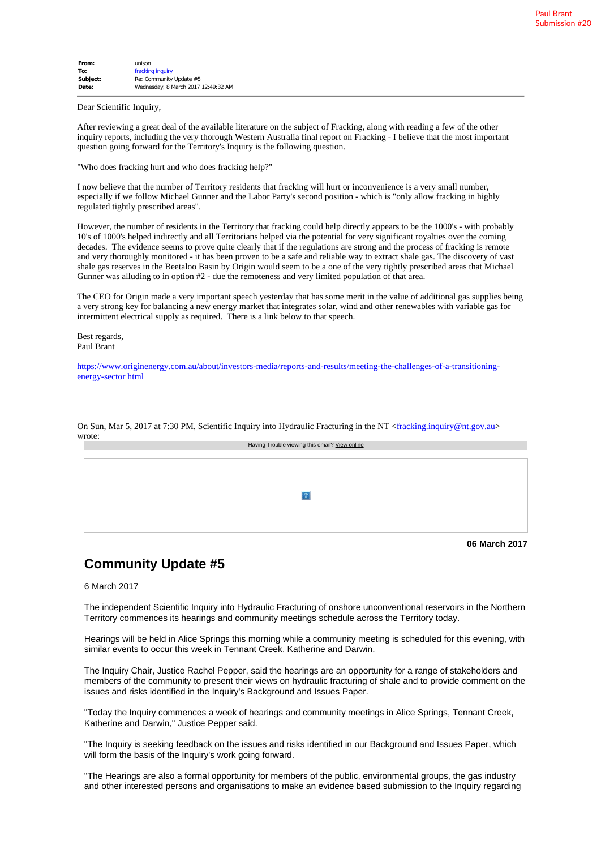| From:    | unison                              |  |  |  |
|----------|-------------------------------------|--|--|--|
| To:      | fracking inquiry                    |  |  |  |
| Subject: | Re: Community Update #5             |  |  |  |
| Date:    | Wednesday, 8 March 2017 12:49:32 AM |  |  |  |
|          |                                     |  |  |  |

Dear Scientific Inquiry,

After reviewing a great deal of the available literature on the subject of Fracking, along with reading a few of the other inquiry reports, including the very thorough Western Australia final report on Fracking - I believe that the most important question going forward for the Territory's Inquiry is the following question.

"Who does fracking hurt and who does fracking help?"

I now believe that the number of Territory residents that fracking will hurt or inconvenience is a very small number, especially if we follow Michael Gunner and the Labor Party's second position - which is "only allow fracking in highly regulated tightly prescribed areas".

However, the number of residents in the Territory that fracking could help directly appears to be the 1000's - with probably 10's of 1000's helped indirectly and all Territorians helped via the potential for very significant royalties over the coming decades. The evidence seems to prove quite clearly that if the regulations are strong and the process of fracking is remote and very thoroughly monitored - it has been proven to be a safe and reliable way to extract shale gas. The discovery of vast shale gas reserves in the Beetaloo Basin by Origin would seem to be a one of the very tightly prescribed areas that Michael Gunner was alluding to in option #2 - due the remoteness and very limited population of that area.

The CEO for Origin made a very important speech yesterday that has some merit in the value of additional gas supplies being a very strong key for balancing a new energy market that integrates solar, wind and other renewables with variable gas for intermittent electrical supply as required. There is a link below to that speech.

Best regards, Paul Brant

https://www.originenergy.com.au/about/investors-media/reports-and-results/meeting-the-challenges-of-a-transitioningenergy-sector html

| Having Trouble viewing this email? View online |
|------------------------------------------------|
|                                                |
|                                                |
|                                                |
|                                                |
|                                                |
|                                                |
|                                                |
|                                                |
|                                                |
| 06 March 2017                                  |

On Sun, Mar 5, 2017 at 7:30 PM, Scientific Inquiry into Hydraulic Fracturing in the NT <fracking.inquiry@nt.gov.au> wrote

## **Community Update #5**

6 March 2017

The independent Scientific Inquiry into Hydraulic Fracturing of onshore unconventional reservoirs in the Northern Territory commences its hearings and community meetings schedule across the Territory today.

Hearings will be held in Alice Springs this morning while a community meeting is scheduled for this evening, with similar events to occur this week in Tennant Creek, Katherine and Darwin.

The Inquiry Chair, Justice Rachel Pepper, said the hearings are an opportunity for a range of stakeholders and members of the community to present their views on hydraulic fracturing of shale and to provide comment on the issues and risks identified in the Inquiry's Background and Issues Paper.

"Today the Inquiry commences a week of hearings and community meetings in Alice Springs, Tennant Creek, Katherine and Darwin," Justice Pepper said.

"The Inquiry is seeking feedback on the issues and risks identified in our Background and Issues Paper, which will form the basis of the Inquiry's work going forward.

"The Hearings are also a formal opportunity for members of the public, environmental groups, the gas industry and other interested persons and organisations to make an evidence based submission to the Inquiry regarding